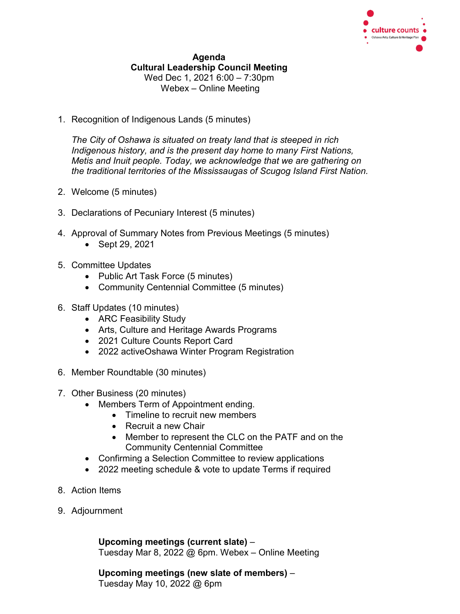

## **Agenda Cultural Leadership Council Meeting** Wed Dec 1, 2021 6:00 – 7:30pm Webex – Online Meeting

1. Recognition of Indigenous Lands (5 minutes)

*The City of Oshawa is situated on treaty land that is steeped in rich Indigenous history, and is the present day home to many First Nations, Metis and Inuit people. Today, we acknowledge that we are gathering on the traditional territories of the Mississaugas of Scugog Island First Nation.*

- 2. Welcome (5 minutes)
- 3. Declarations of Pecuniary Interest (5 minutes)
- 4. Approval of Summary Notes from Previous Meetings (5 minutes)
	- Sept 29, 2021
- 5. Committee Updates
	- Public Art Task Force (5 minutes)
	- Community Centennial Committee (5 minutes)
- 6. Staff Updates (10 minutes)
	- ARC Feasibility Study
	- Arts, Culture and Heritage Awards Programs
	- 2021 Culture Counts Report Card
	- 2022 activeOshawa Winter Program Registration
- 6. Member Roundtable (30 minutes)
- 7. Other Business (20 minutes)
	- Members Term of Appointment ending.
		- Timeline to recruit new members
		- Recruit a new Chair
		- Member to represent the CLC on the PATF and on the Community Centennial Committee
	- Confirming a Selection Committee to review applications
	- 2022 meeting schedule & vote to update Terms if required
- 8. Action Items
- 9. Adjournment

**Upcoming meetings (current slate)** – Tuesday Mar 8, 2022 @ 6pm. Webex – Online Meeting

**Upcoming meetings (new slate of members)** – Tuesday May 10, 2022 @ 6pm